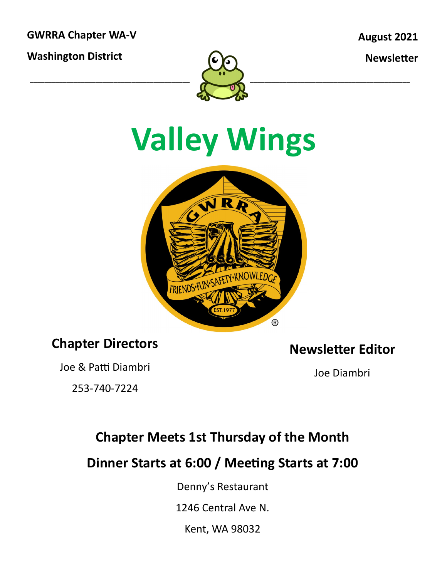**GWRRA Chapter WA-V**

**Washington District**

**August 2021**

**Newsletter**



# **Valley Wings**



#### **Chapter Directors**

Joe & Patti Diambri

253-740-7224

**Newsletter Editor**

Joe Diambri

### **Chapter Meets 1st Thursday of the Month**

**Dinner Starts at 6:00 / Meeting Starts at 7:00**

Denny's Restaurant

1246 Central Ave N.

Kent, WA 98032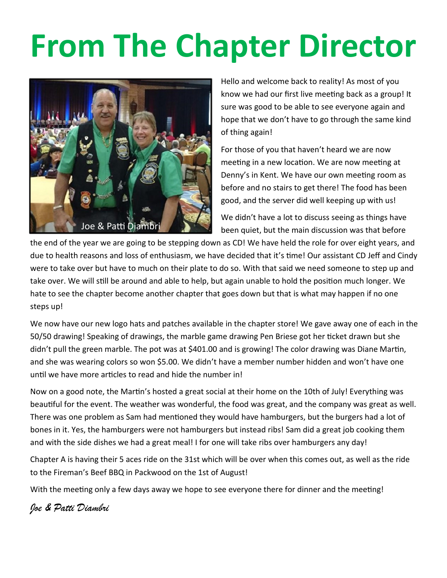# **From The Chapter Director**



Hello and welcome back to reality! As most of you know we had our first live meeting back as a group! It sure was good to be able to see everyone again and hope that we don't have to go through the same kind of thing again!

For those of you that haven't heard we are now meeting in a new location. We are now meeting at Denny's in Kent. We have our own meeting room as before and no stairs to get there! The food has been good, and the server did well keeping up with us!

We didn't have a lot to discuss seeing as things have been quiet, but the main discussion was that before

the end of the year we are going to be stepping down as CD! We have held the role for over eight years, and due to health reasons and loss of enthusiasm, we have decided that it's time! Our assistant CD Jeff and Cindy were to take over but have to much on their plate to do so. With that said we need someone to step up and take over. We will still be around and able to help, but again unable to hold the position much longer. We hate to see the chapter become another chapter that goes down but that is what may happen if no one steps up!

We now have our new logo hats and patches available in the chapter store! We gave away one of each in the 50/50 drawing! Speaking of drawings, the marble game drawing Pen Briese got her ticket drawn but she didn't pull the green marble. The pot was at \$401.00 and is growing! The color drawing was Diane Martin, and she was wearing colors so won \$5.00. We didn't have a member number hidden and won't have one until we have more articles to read and hide the number in!

Now on a good note, the Martin's hosted a great social at their home on the 10th of July! Everything was beautiful for the event. The weather was wonderful, the food was great, and the company was great as well. There was one problem as Sam had mentioned they would have hamburgers, but the burgers had a lot of bones in it. Yes, the hamburgers were not hamburgers but instead ribs! Sam did a great job cooking them and with the side dishes we had a great meal! I for one will take ribs over hamburgers any day!

Chapter A is having their 5 aces ride on the 31st which will be over when this comes out, as well as the ride to the Fireman's Beef BBQ in Packwood on the 1st of August!

With the meeting only a few days away we hope to see everyone there for dinner and the meeting!

*Joe & Patti Diambri*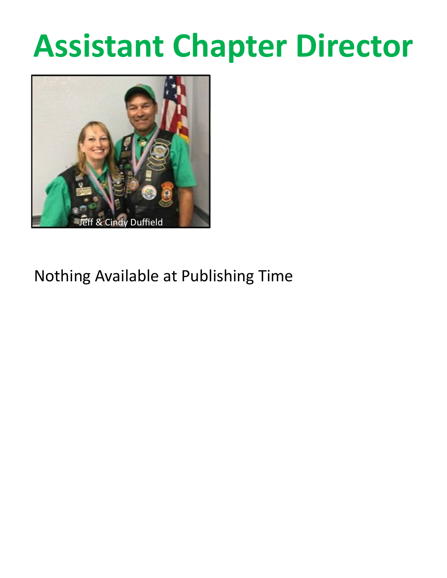## **Assistant Chapter Director**



### Nothing Available at Publishing Time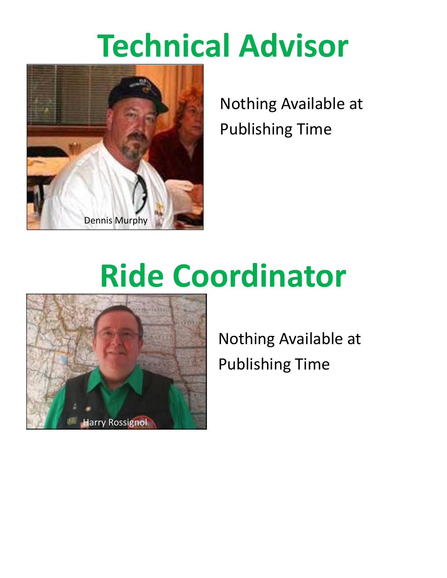## **Technical Advisor**



Nothing Available at Publishing Time

# **Ride Coordinator**



Nothing Available at Publishing Time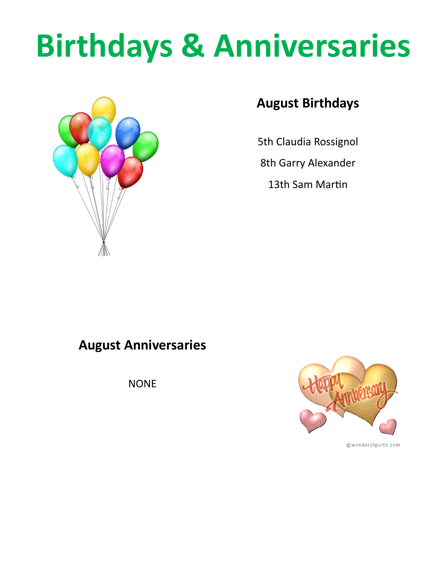# **Birthdays & Anniversaries**



#### **August Birthdays**

5th Claudia Rossignol

8th Garry Alexander

13th Sam Martin

#### **August Anniversaries**

NONE



@wondercliparts.com